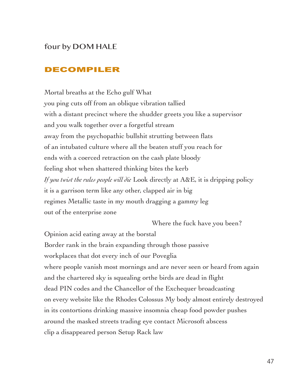# four by DOM HALE

### DECOMPILER

Mortal breaths at the Echo gulf What you ping cuts off from an oblique vibration tallied with a distant precinct where the shudder greets you like a supervisor and you walk together over a forgetful stream away from the psychopathic bullshit strutting between flats of an intubated culture where all the beaten stuff you reach for ends with a coerced retraction on the cash plate bloody feeling shot when shattered thinking bites the kerb *If you twist the rules people will die* Look directly at A&E, it is dripping policy it is a garrison term like any other, clapped air in big regimes Metallic taste in my mouth dragging a gammy leg out of the enterprise zone

Where the fuck have you been?

Opinion acid eating away at the borstal Border rank in the brain expanding through those passive workplaces that dot every inch of our Poveglia where people vanish most mornings and are never seen or heard from again and the chartered sky is squealing orthe birds are dead in flight dead PIN codes and the Chancellor of the Exchequer broadcasting on every website like the Rhodes Colossus My body almost entirely destroyed in its contortions drinking massive insomnia cheap food powder pushes around the masked streets trading eye contact Microsoft abscess clip a disappeared person Setup Rack law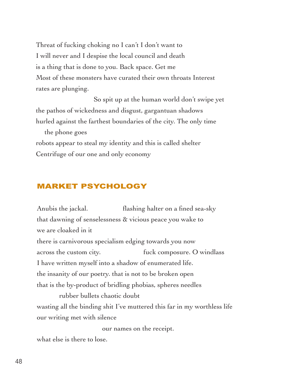Threat of fucking choking no I can't I don't want to I will never and I despise the local council and death is a thing that is done to you. Back space. Get me Most of these monsters have curated their own throats Interest rates are plunging.

 So spit up at the human world don't swipe yet the pathos of wickedness and disgust, gargantuan shadows hurled against the farthest boundaries of the city. The only time

 the phone goes robots appear to steal my identity and this is called shelter Centrifuge of our one and only economy

## MARKET PSYCHOLOGY

Anubis the jackal. **flashing halter on a fined sea-sky** that dawning of senselessness & vicious peace you wake to we are cloaked in it there is carnivorous specialism edging towards you now across the custom city. fuck composure. O windlass I have written myself into a shadow of enumerated life. the insanity of our poetry. that is not to be broken open that is the by-product of bridling phobias, spheres needles rubber bullets chaotic doubt

wasting all the binding shit I've muttered this far in my worthless life our writing met with silence

our names on the receipt.

what else is there to lose.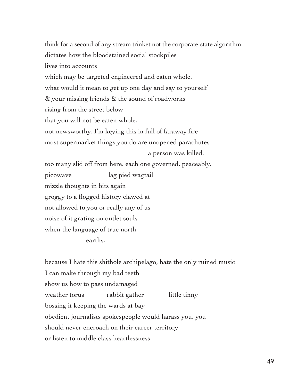think for a second of any stream trinket not the corporate-state algorithm dictates how the bloodstained social stockpiles lives into accounts which may be targeted engineered and eaten whole. what would it mean to get up one day and say to yourself & your missing friends & the sound of roadworks rising from the street below that you will not be eaten whole. not newsworthy. I'm keying this in full of faraway fire most supermarket things you do are unopened parachutes a person was killed. too many slid off from here. each one governed. peaceably. picowave lag pied wagtail mizzle thoughts in bits again groggy to a flogged history clawed at not allowed to you or really any of us noise of it grating on outlet souls when the language of true north earths.

because I hate this shithole archipelago, hate the only ruined music I can make through my bad teeth show us how to pass undamaged weather torus rabbit gather little tinny bossing it keeping the wards at bay obedient journalists spokespeople would harass you, you should never encroach on their career territory or listen to middle class heartlessness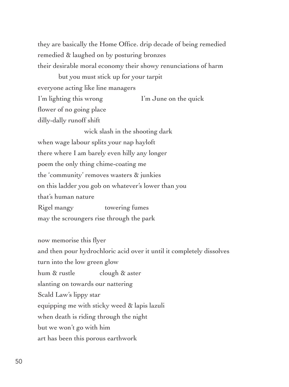they are basically the Home Office. drip decade of being remedied remedied & laughed on by posturing bronzes their desirable moral economy their showy renunciations of harm

but you must stick up for your tarpit everyone acting like line managers I'm lighting this wrong I'm June on the quick flower of no going place dilly-dally runoff shift

 wick slash in the shooting dark when wage labour splits your nap hayloft there where I am barely even hilly any longer poem the only thing chime-coating me the 'community' removes wasters & junkies on this ladder you gob on whatever's lower than you that's human nature Rigel mangy towering fumes may the scroungers rise through the park

now memorise this flyer and then pour hydrochloric acid over it until it completely dissolves turn into the low green glow hum & rustle clough & aster slanting on towards our nattering Scald Law's lippy star equipping me with sticky weed & lapis lazuli when death is riding through the night but we won't go with him art has been this porous earthwork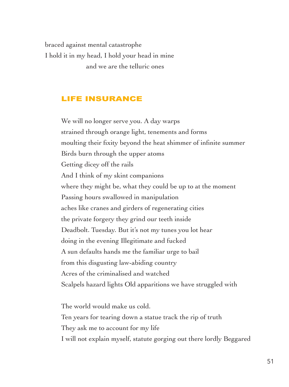braced against mental catastrophe I hold it in my head, I hold your head in mine and we are the telluric ones

## LIFE INSURANCE

We will no longer serve you. A day warps strained through orange light, tenements and forms moulting their fixity beyond the heat shimmer of infinite summer Birds burn through the upper atoms Getting dicey off the rails And I think of my skint companions where they might be, what they could be up to at the moment Passing hours swallowed in manipulation aches like cranes and girders of regenerating cities the private forgery they grind our teeth inside Deadbolt. Tuesday. But it's not my tunes you lot hear doing in the evening Illegitimate and fucked A sun defaults hands me the familiar urge to bail from this disgusting law-abiding country Acres of the criminalised and watched Scalpels hazard lights Old apparitions we have struggled with

The world would make us cold. Ten years for tearing down a statue track the rip of truth They ask me to account for my life I will not explain myself, statute gorging out there lordly Beggared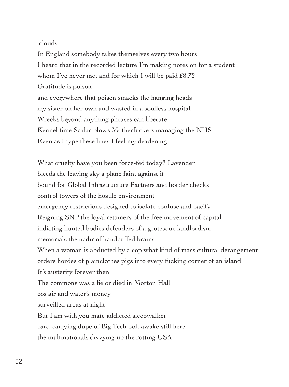#### clouds

In England somebody takes themselves every two hours I heard that in the recorded lecture I'm making notes on for a student whom I've never met and for which I will be paid £8.72 Gratitude is poison and everywhere that poison smacks the hanging heads my sister on her own and wasted in a soulless hospital Wrecks beyond anything phrases can liberate Kennel time Scalar blows Motherfuckers managing the NHS Even as I type these lines I feel my deadening.

What cruelty have you been force-fed today? Lavender bleeds the leaving sky a plane faint against it bound for Global Infrastructure Partners and border checks control towers of the hostile environment emergency restrictions designed to isolate confuse and pacify Reigning SNP the loyal retainers of the free movement of capital indicting hunted bodies defenders of a grotesque landlordism memorials the nadir of handcuffed brains When a woman is abducted by a cop what kind of mass cultural derangement orders hordes of plainclothes pigs into every fucking corner of an island It's austerity forever then The commons was a lie or died in Morton Hall cos air and water's money surveilled areas at night But I am with you mate addicted sleepwalker card-carrying dupe of Big Tech bolt awake still here the multinationals divvying up the rotting USA